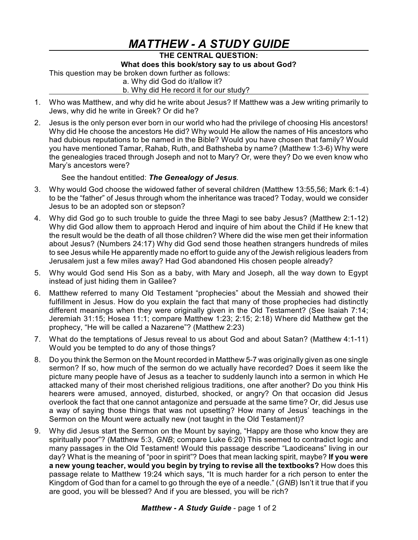## *MATTHEW - A STUDY GUIDE*

## **THE CENTRAL QUESTION: What does this book/story say to us about God?**

This question may be broken down further as follows:

a. Why did God do it/allow it?

b. Why did He record it for our study?

- 1. Who was Matthew, and why did he write about Jesus? If Matthew was a Jew writing primarily to Jews, why did he write in Greek? Or did he?
- 2. Jesus is the only person ever born in our world who had the privilege of choosing His ancestors! Why did He choose the ancestors He did? Why would He allow the names of His ancestors who had dubious reputations to be named in the Bible? Would you have chosen that family? Would you have mentioned Tamar, Rahab, Ruth, and Bathsheba by name? (Matthew 1:3-6) Why were the genealogies traced through Joseph and not to Mary? Or, were they? Do we even know who Mary's ancestors were?

See the handout entitled: *The Genealogy of Jesus.*

- 3. Why would God choose the widowed father of several children (Matthew 13:55,56; Mark 6:1-4) to be the "father" of Jesus through whom the inheritance was traced? Today, would we consider Jesus to be an adopted son or stepson?
- 4. Why did God go to such trouble to guide the three Magi to see baby Jesus? (Matthew 2:1-12) Why did God allow them to approach Herod and inquire of him about the Child if He knew that the result would be the death of all those children? Where did the wise men get their information about Jesus? (Numbers 24:17) Why did God send those heathen strangers hundreds of miles to see Jesus while He apparently made no effort to guide any of the Jewish religious leaders from Jerusalem just a few miles away? Had God abandoned His chosen people already?
- 5. Why would God send His Son as a baby, with Mary and Joseph, all the way down to Egypt instead of just hiding them in Galilee?
- 6. Matthew referred to many Old Testament "prophecies" about the Messiah and showed their fulfillment in Jesus. How do you explain the fact that many of those prophecies had distinctly different meanings when they were originally given in the Old Testament? (See Isaiah 7:14; Jeremiah 31:15; Hosea 11:1; compare Matthew 1:23; 2:15; 2:18) Where did Matthew get the prophecy, "He will be called a Nazarene"? (Matthew 2:23)
- 7. What do the temptations of Jesus reveal to us about God and about Satan? (Matthew 4:1-11) Would you be tempted to do any of those things?
- 8. Do you think the Sermon on the Mount recorded in Matthew 5-7 was originally given as one single sermon? If so, how much of the sermon do we actually have recorded? Does it seem like the picture many people have of Jesus as a teacher to suddenly launch into a sermon in which He attacked many of their most cherished religious traditions, one after another? Do you think His hearers were amused, annoyed, disturbed, shocked, or angry? On that occasion did Jesus overlook the fact that one cannot antagonize and persuade at the same time? Or, did Jesus use a way of saying those things that was not upsetting? How many of Jesus' teachings in the Sermon on the Mount were actually new (not taught in the Old Testament)?
- 9. Why did Jesus start the Sermon on the Mount by saying, "Happy are those who know they are spiritually poor"? (Matthew 5:3, *GNB*; compare Luke 6:20) This seemed to contradict logic and many passages in the Old Testament! Would this passage describe "Laodiceans" living in our day? What is the meaning of "poor in spirit"? Does that mean lacking spirit, maybe? **If you were a new young teacher, would you begin by trying to revise all the textbooks?** How does this passage relate to Matthew 19:24 which says, "It is much harder for a rich person to enter the Kingdom of God than for a camel to go through the eye of a needle." (*GNB*) Isn't it true that if you are good, you will be blessed? And if you are blessed, you will be rich?

## *Matthew - A Study Guide* - page 1 of 2